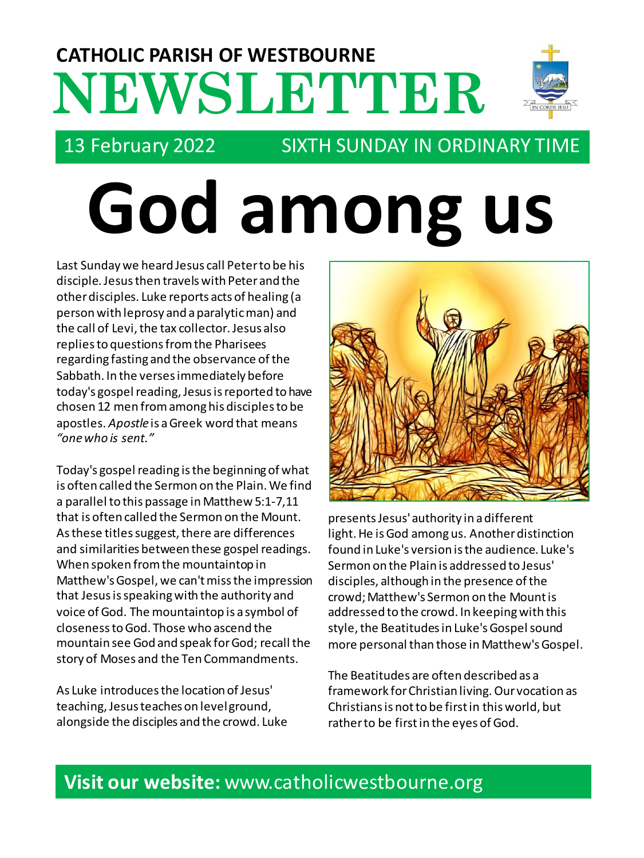# **NEWSLETTER CATHOLIC PARISH OF WESTBOURNE**



## 13 February 2022 SIXTH SUNDAY IN ORDINARY TIME

# **God among us**

Last Sunday we heard Jesus call Peter to be his disciple. Jesus then travels with Peter and the other disciples. Luke reports acts of healing (a person with leprosy and a paralytic man) and the call of Levi, the tax collector. Jesus also replies to questions from the Pharisees regarding fasting and the observance of the Sabbath. In the verses immediately before today's gospel reading, Jesus is reported to have chosen 12 men from among his disciples to be apostles. *Apostle*is a Greek word that means *"one who is sent."*

Today's gospel reading is the beginning of what is often called the Sermon on the Plain. We find a parallel to this passage in Matthew 5:1-7,11 that is often called the Sermon on the Mount. As these titles suggest, there are differences and similarities between these gospel readings. When spoken from the mountaintop in Matthew's Gospel, we can't miss the impression that Jesus is speaking with the authority and voice of God. The mountaintop is a symbol of closeness to God. Those who ascend the mountain see God and speak for God; recall the story of Moses and the Ten Commandments.

As Luke introduces the location of Jesus' teaching, Jesus teaches on level ground, alongside the disciples and the crowd. Luke



presents Jesus' authority in a different light. He is God among us. Another distinction found in Luke's version is the audience. Luke's Sermon on the Plain is addressed to Jesus' disciples, although in the presence of the crowd; Matthew's Sermon on the Mount is addressed to the crowd. In keeping with this style, the Beatitudes in Luke's Gospel sound more personal than those in Matthew's Gospel.

The Beatitudes are often described as a framework for Christian living. Our vocation as Christians is not to be first in this world, but rather to be first in the eyes of God.

## **Visit our website:** www.catholicwestbourne.org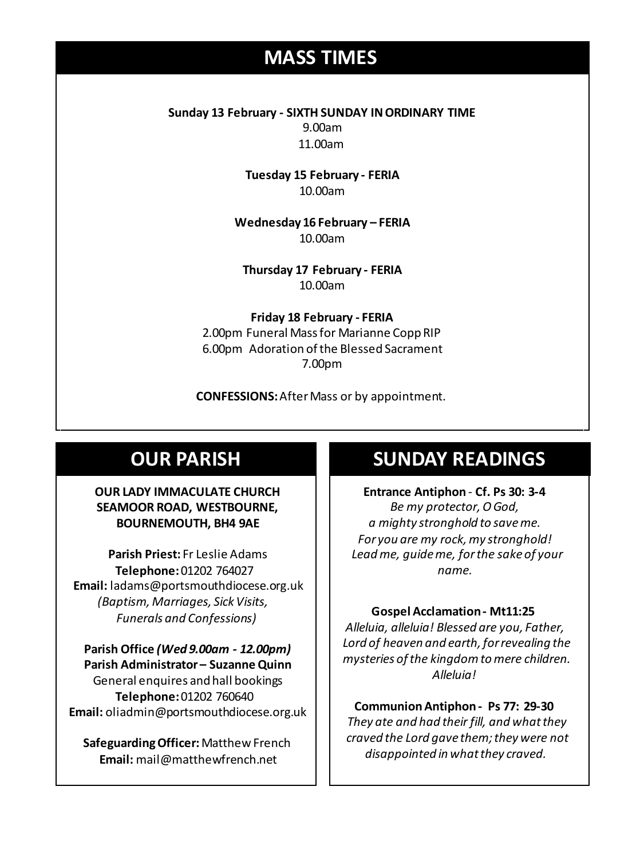## **MASS TIMES**

**Sunday 13 February - SIXTH SUNDAY IN ORDINARY TIME** 9.00am 11.00am

> **Tuesday 15 February - FERIA** 10.00am

**Wednesday 14th** *Repose of the souls of Bernard Charles and Elsie May Pratt* **Wednesday 16 February – FERIA** 10.00am

**Saturday 16th** *Rosemarie Schofield RIP* **Thursday 17 February - FERIA** 10.00am

> **Friday 18 February - FERIA** 2.00pm Funeral Mass for Marianne Copp RIP 6.00pm Adoration of the Blessed Sacrament 7.00pm

**CONFESSIONS:**After Mass or by appointment.

## **OUR PARISH**

#### **OUR LADY IMMACULATE CHURCH SEAMOOR ROAD, WESTBOURNE, BOURNEMOUTH, BH4 9AE**

**Parish Priest:** Fr Leslie Adams **Telephone:**01202 764027 **Email:** ladams@portsmouthdiocese.org.uk *(Baptism, Marriages, Sick Visits, Funerals and Confessions)*

**Parish Office** *(Wed 9.00am - 12.00pm)* **Parish Administrator – Suzanne Quinn** General enquires andhall bookings **Telephone:**01202 760640 **Email:** oliadmin@portsmouthdiocese.org.uk

**Safeguarding Officer:**Matthew French **Email:** mail@matthewfrench.net

### **SUNDAY READINGS**

**Entrance Antiphon** - **Cf. Ps 30: 3-4** *Be my protector, O God, a mighty stronghold to save me. For you are my rock, my stronghold! Lead me, guide me, for the sake of your name.* 

#### **Gospel Acclamation - Mt11:25**

*Alleluia, alleluia! Blessed are you, Father, Lord of heaven and earth, for revealing the mysteries of the kingdom to mere children. Alleluia!* 

**CommunionAntiphon - Ps 77: 29-30** *They ate and had their fill, and what they craved the Lord gave them; they were not disappointed in what they craved.*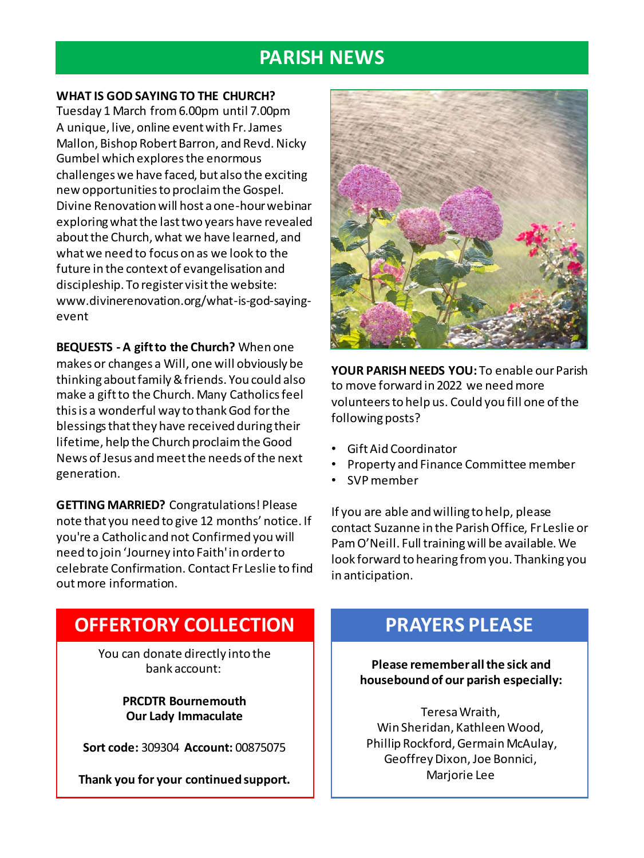## **PARISH NEWS**

#### **WHAT IS GOD SAYING TO THE CHURCH?**

Tuesday 1 March from 6.00pm until 7.00pm A unique, live, online event with Fr. James Mallon, Bishop Robert Barron, and Revd. Nicky Gumbel which explores the enormous challenges we have faced, but also the exciting new opportunities to proclaim the Gospel. Divine Renovation will host a one-hour webinar exploring what the last two years have revealed about the Church, what we have learned, and what we need to focus on as we look to the future in the context of evangelisation and discipleship. To register visit the website: www.divinerenovation.org/what-is-god-sayingevent

**BEQUESTS - A gift to the Church?** When one makes or changes a Will, one will obviously be thinking about family & friends. You could also make a gift to the Church. Many Catholics feel this is a wonderful way to thank God for the blessings that they have received during their lifetime, help the Church proclaim the Good News of Jesus and meet the needs of the next generation.

**GETTING MARRIED?** Congratulations! Please note that you need to give 12 months' notice. If you're a Catholic and not Confirmed you will need to join 'Journey into Faith' in order to celebrate Confirmation. Contact Fr Leslie to find out more information.



**YOUR PARISH NEEDS YOU:** To enable our Parish to move forward in 2022 we need more volunteers to help us. Could you fill one of the following posts?

- Gift Aid Coordinator
- Property and Finance Committee member
- SVP member

If you are able and willing to help, please contact Suzanne in the Parish Office, Fr Leslie or Pam O'Neill. Full training will be available. We look forward to hearing from you. Thanking you in anticipation.

## **OFFERTORY COLLECTION**

You can donate directly into the bank account:

> **PRCDTR Bournemouth Our Lady Immaculate**

**Sort code:** 309304 **Account:** 00875075

**Thank you for your continued support.**

## **PRAYERS PLEASE**

**Please remember all the sick and housebound of our parish especially:**

Teresa Wraith, Win Sheridan, Kathleen Wood, Phillip Rockford, Germain McAulay, Geoffrey Dixon, Joe Bonnici, Marjorie Lee